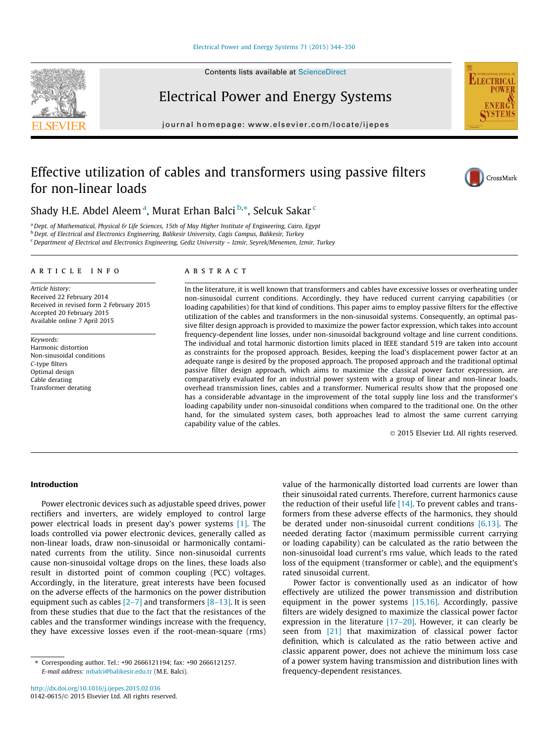#### [Electrical Power and Energy Systems 71 \(2015\) 344–350](http://dx.doi.org/10.1016/j.ijepes.2015.02.036)

Contents lists available at [ScienceDirect](http://www.sciencedirect.com/science/journal/01420615)

Electrical Power and Energy Systems

journal homepage: [www.elsevier.com/locate/ijepes](http://www.elsevier.com/locate/ijepes)

## Effective utilization of cables and transformers using passive filters for non-linear loads



**ELECTRICA** 

Shady H.E. Abdel Aleem<sup>a</sup>, Murat Erhan Balci <sup>b,</sup>\*, Selcuk Sakar <sup>c</sup>

a Dept. of Mathematical, Physical & Life Sciences, 15th of May Higher Institute of Engineering, Cairo, Egypt <sup>b</sup> Dept. of Electrical and Electronics Engineering, Balikesir University, Cagis Campus, Balikesir, Turkey

<sup>c</sup> Department of Electrical and Electronics Engineering, Gediz University - Izmir, Seyrek/Menemen, Izmir, Turkey

#### article info

Article history: Received 22 February 2014 Received in revised form 2 February 2015 Accepted 20 February 2015 Available online 7 April 2015

Keywords: Harmonic distortion Non-sinusoidal conditions C-type filters Optimal design Cable derating Transformer derating

#### ABSTRACT

In the literature, it is well known that transformers and cables have excessive losses or overheating under non-sinusoidal current conditions. Accordingly, they have reduced current carrying capabilities (or loading capabilities) for that kind of conditions. This paper aims to employ passive filters for the effective utilization of the cables and transformers in the non-sinusoidal systems. Consequently, an optimal passive filter design approach is provided to maximize the power factor expression, which takes into account frequency-dependent line losses, under non-sinusoidal background voltage and line current conditions. The individual and total harmonic distortion limits placed in IEEE standard 519 are taken into account as constraints for the proposed approach. Besides, keeping the load's displacement power factor at an adequate range is desired by the proposed approach. The proposed approach and the traditional optimal passive filter design approach, which aims to maximize the classical power factor expression, are comparatively evaluated for an industrial power system with a group of linear and non-linear loads, overhead transmission lines, cables and a transformer. Numerical results show that the proposed one has a considerable advantage in the improvement of the total supply line loss and the transformer's loading capability under non-sinusoidal conditions when compared to the traditional one. On the other hand, for the simulated system cases, both approaches lead to almost the same current carrying capability value of the cables.

- 2015 Elsevier Ltd. All rights reserved.

### Introduction

Power electronic devices such as adjustable speed drives, power rectifiers and inverters, are widely employed to control large power electrical loads in present day's power systems [\[1\].](#page--1-0) The loads controlled via power electronic devices, generally called as non-linear loads, draw non-sinusoidal or harmonically contaminated currents from the utility. Since non-sinusoidal currents cause non-sinusoidal voltage drops on the lines, these loads also result in distorted point of common coupling (PCC) voltages. Accordingly, in the literature, great interests have been focused on the adverse effects of the harmonics on the power distribution equipment such as cables  $[2-7]$  and transformers  $[8-13]$ . It is seen from these studies that due to the fact that the resistances of the cables and the transformer windings increase with the frequency, they have excessive losses even if the root-mean-square (rms) value of the harmonically distorted load currents are lower than their sinusoidal rated currents. Therefore, current harmonics cause the reduction of their useful life  $[14]$ . To prevent cables and transformers from these adverse effects of the harmonics, they should be derated under non-sinusoidal current conditions [\[6,13\].](#page--1-0) The needed derating factor (maximum permissible current carrying or loading capability) can be calculated as the ratio between the non-sinusoidal load current's rms value, which leads to the rated loss of the equipment (transformer or cable), and the equipment's rated sinusoidal current.

Power factor is conventionally used as an indicator of how effectively are utilized the power transmission and distribution equipment in the power systems  $[15,16]$ . Accordingly, passive filters are widely designed to maximize the classical power factor expression in the literature  $[17-20]$ . However, it can clearly be seen from [\[21\]](#page--1-0) that maximization of classical power factor definition, which is calculated as the ratio between active and classic apparent power, does not achieve the minimum loss case of a power system having transmission and distribution lines with frequency-dependent resistances.



<sup>⇑</sup> Corresponding author. Tel.: +90 2666121194; fax: +90 2666121257. E-mail address: [mbalci@balikesir.edu.tr](mailto:mbalci@balikesir.edu.tr) (M.E. Balci).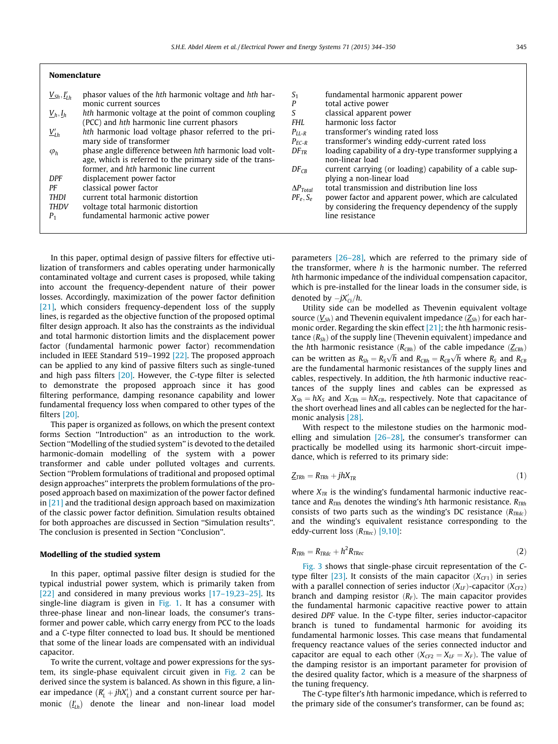| $\underline{V}_{Sh}, \underline{I}'_{I,h}$ | phasor values of the hth harmonic voltage and hth har-   | S <sub>1</sub>     | fundamental harmonic    |
|--------------------------------------------|----------------------------------------------------------|--------------------|-------------------------|
|                                            | monic current sources                                    | P                  | total active power      |
| $\underline{V}_h, \underline{I}_h$         | hth harmonic voltage at the point of common coupling     | S                  | classical apparent pow  |
|                                            | (PCC) and hth harmonic line current phasors              | <b>FHL</b>         | harmonic loss factor    |
| $V_{Lh}'$                                  | hth harmonic load voltage phasor referred to the pri-    | $P_{LL-R}$         | transformer's winding   |
|                                            | mary side of transformer                                 | $P_{EC-R}$         | transformer's winding   |
| $\varphi_h$                                | phase angle difference between hth harmonic load volt-   | $DF_{TR}$          | loading capability of a |
|                                            | age, which is referred to the primary side of the trans- |                    | non-linear load         |
|                                            | former, and hth harmonic line current                    | $DF_{CR}$          | current carrying (or lo |
| <b>DPF</b>                                 | displacement power factor                                |                    | plying a non-linear loa |
| РF                                         | classical power factor                                   | $\Delta P_{Total}$ | total transmission and  |
| <b>THDI</b>                                | current total harmonic distortion                        | $PF_e$ , $S_e$     | power factor and appar  |
| <b>THDV</b>                                | voltage total harmonic distortion                        |                    | by considering the freq |
| $P_1$                                      | fundamental harmonic active power                        |                    | line resistance         |
|                                            |                                                          |                    |                         |
|                                            |                                                          |                    |                         |

In this paper, optimal design of passive filters for effective utilization of transformers and cables operating under harmonically contaminated voltage and current cases is proposed, while taking into account the frequency-dependent nature of their power losses. Accordingly, maximization of the power factor definition [\[21\],](#page--1-0) which considers frequency-dependent loss of the supply lines, is regarded as the objective function of the proposed optimal filter design approach. It also has the constraints as the individual and total harmonic distortion limits and the displacement power factor (fundamental harmonic power factor) recommendation included in IEEE Standard 519–1992 [\[22\].](#page--1-0) The proposed approach can be applied to any kind of passive filters such as single-tuned and high pass filters  $[20]$ . However, the C-type filter is selected to demonstrate the proposed approach since it has good filtering performance, damping resonance capability and lower fundamental frequency loss when compared to other types of the filters [\[20\]](#page--1-0).

This paper is organized as follows, on which the present context forms Section ''Introduction'' as an introduction to the work. Section ''Modelling of the studied system'' is devoted to the detailed harmonic-domain modelling of the system with a power transformer and cable under polluted voltages and currents. Section ''Problem formulations of traditional and proposed optimal design approaches'' interprets the problem formulations of the proposed approach based on maximization of the power factor defined in [\[21\]](#page--1-0) and the traditional design approach based on maximization of the classic power factor definition. Simulation results obtained for both approaches are discussed in Section ''Simulation results''. The conclusion is presented in Section ''Conclusion''.

#### Modelling of the studied system

Nomenclature

In this paper, optimal passive filter design is studied for the typical industrial power system, which is primarily taken from [\[22\]](#page--1-0) and considered in many previous works [\[17–19,23–25\].](#page--1-0) Its single-line diagram is given in [Fig. 1.](#page--1-0) It has a consumer with three-phase linear and non-linear loads, the consumer's transformer and power cable, which carry energy from PCC to the loads and a C-type filter connected to load bus. It should be mentioned that some of the linear loads are compensated with an individual capacitor.

To write the current, voltage and power expressions for the system, its single-phase equivalent circuit given in [Fig. 2](#page--1-0) can be derived since the system is balanced. As shown in this figure, a linear impedance  $(R'_L + jhX'_L)$  and a constant current source per harmonic  $(I'_{Lh})$  denote the linear and non-linear load model

| S <sub>1</sub>     | fundamental harmonic apparent power                      |
|--------------------|----------------------------------------------------------|
| P                  | total active power                                       |
| S                  | classical apparent power                                 |
| FHL.               | harmonic loss factor                                     |
| $P_{II-R}$         | transformer's winding rated loss                         |
| $P_{FC-R}$         | transformer's winding eddy-current rated loss            |
| $DF_{TR}$          | loading capability of a dry-type transformer supplying a |
|                    | non-linear load                                          |
| $DF_{CR}$          | current carrying (or loading) capability of a cable sup- |
|                    | plying a non-linear load                                 |
| $\Delta P_{Total}$ | total transmission and distribution line loss            |
| $PF_e$ , $S_e$     | power factor and apparent power, which are calculated    |
|                    | by considering the frequency dependency of the supply    |
|                    | line resistance                                          |
|                    |                                                          |

parameters [\[26–28\]](#page--1-0), which are referred to the primary side of the transformer, where  $h$  is the harmonic number. The referred hth harmonic impedance of the individual compensation capacitor, which is pre-installed for the linear loads in the consumer side, is denoted by  $-jX'_{Ci}/h$ .

Utility side can be modelled as Thevenin equivalent voltage source  $(V_{Sh})$  and Thevenin equivalent impedance  $(Z_{Sh})$  for each har-monic order. Regarding the skin effect [\[21\];](#page--1-0) the hth harmonic resistance  $(R_{Sh})$  of the supply line (Thevenin equivalent) impedance and the hth harmonic resistance  $(R_{CBA})$  of the cable impedance  $(Z_{CBA})$ can be written as  $R_{Sh} = R_S \sqrt{h}$  and  $R_{CBh} = R_{CB} \sqrt{h}$  where  $R_S$  and  $R_{CB}$ are the fundamental harmonic resistances of the supply lines and cables, respectively. In addition, the hth harmonic inductive reactances of the supply lines and cables can be expressed as  $X_{Sh} = hX_S$  and  $X_{C Bh} = hX_{CB}$ , respectively. Note that capacitance of the short overhead lines and all cables can be neglected for the harmonic analysis [\[28\].](#page--1-0)

With respect to the milestone studies on the harmonic modelling and simulation [\[26–28\],](#page--1-0) the consumer's transformer can practically be modelled using its harmonic short-circuit impedance, which is referred to its primary side:

$$
\underline{Z}_{TRh} = R_{TRh} + jhX_{TR} \tag{1}
$$

where  $X_{TR}$  is the winding's fundamental harmonic inductive reactance and  $R_{TRh}$  denotes the winding's hth harmonic resistance.  $R_{TRh}$ consists of two parts such as the winding's DC resistance  $(R_{TRdc})$ and the winding's equivalent resistance corresponding to the eddy-current loss  $(R_{TRec})$  [\[9,10\]](#page--1-0):

$$
R_{TRh} = R_{TRdc} + h^2 R_{TRec} \tag{2}
$$

[Fig. 3](#page--1-0) shows that single-phase circuit representation of the C-type filter [\[23\]](#page--1-0). It consists of the main capacitor  $(X_{CF1})$  in series with a parallel connection of series inductor  $(X_{LF})$ -capacitor  $(X_{CF2})$ branch and damping resistor  $(R_F)$ . The main capacitor provides the fundamental harmonic capacitive reactive power to attain desired DPF value. In the C-type filter, series inductor-capacitor branch is tuned to fundamental harmonic for avoiding its fundamental harmonic losses. This case means that fundamental frequency reactance values of the series connected inductor and capacitor are equal to each other  $(X<sub>CF2</sub> = X<sub>LF</sub> = X<sub>F</sub>)$ . The value of the damping resistor is an important parameter for provision of the desired quality factor, which is a measure of the sharpness of the tuning frequency.

The C-type filter's hth harmonic impedance, which is referred to the primary side of the consumer's transformer, can be found as;